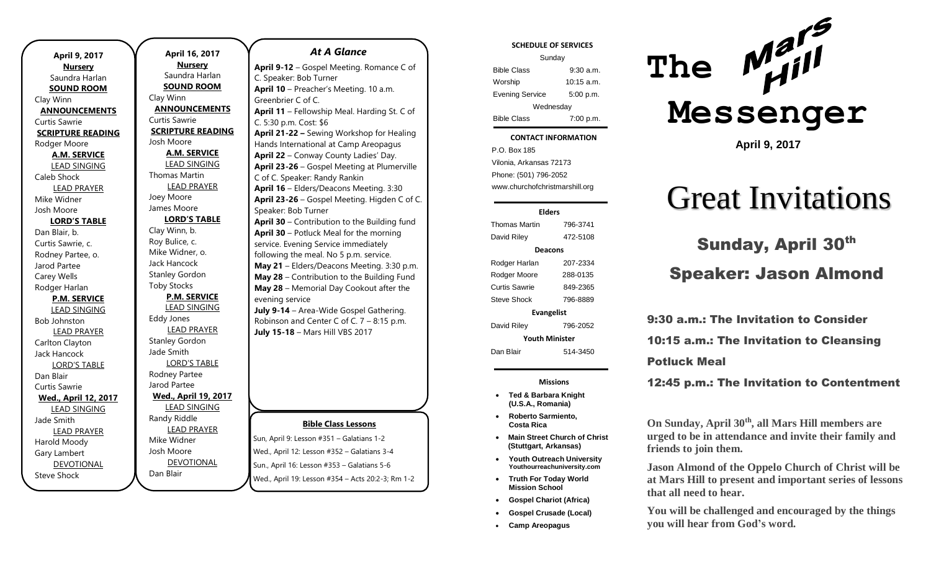| April 9, 2017            |  |
|--------------------------|--|
| <b>Nursery</b>           |  |
| Saundra Harlan           |  |
| <b>SOUND ROOM</b>        |  |
| Clay Winn                |  |
| <b>ANNOUNCEMENTS</b>     |  |
| Curtis Sawrie            |  |
| <b>SCRIPTURE READING</b> |  |
| Rodger Moore             |  |
| <b>A.M. SERVICE</b>      |  |
| <b>LEAD SINGING</b>      |  |
| Caleb Shock              |  |
| <b>LEAD PRAYER</b>       |  |
| Mike Widner              |  |
| Josh Moore               |  |
| <b>LORD'S TABLE</b>      |  |
| Dan Blair, b.            |  |
| Curtis Sawrie, c.        |  |
| Rodney Partee, o.        |  |
| Jarod Partee             |  |
| Carey Wells              |  |
| Rodger Harlan            |  |
| <b>P.M. SERVICE</b>      |  |
| <b>LEAD SINGING</b>      |  |
| <b>Bob Johnston</b>      |  |
| <b>LEAD PRAYER</b>       |  |
| Carlton Clayton          |  |
| <b>Jack Hancock</b>      |  |
| <b>LORD'S TABLE</b>      |  |
| Dan Blair                |  |
| <b>Curtis Sawrie</b>     |  |
| Wed., April 12, 2017     |  |
| <b>LEAD SINGING</b>      |  |
| Jade Smith               |  |
| <b>LEAD PRAYER</b>       |  |
| Harold Moody             |  |
| Gary Lambert             |  |
| <b>DEVOTIONAL</b>        |  |
| Steve Shock              |  |

**April 16, 2017 Nursery** Saundra Harlan **SOUND ROOM** Clay Winn **ANNOUNCEMENTS** Curtis Sawrie **SCRIPTURE READING** Josh Moore **A.M. SERVICE** LEAD SINGING Thomas Martin LEAD PRAYER Joey Moore James Moore **LORD'S TABLE** Clay Winn, b. Roy Bulice, c. Mike Widner, o. Jack Hancock Stanley Gordon Toby Stocks **P.M. SERVICE** LEAD SINGING Eddy Jones LEAD PRAYER Stanley Gordon Jade Smith LORD'S TABLE Rodney Partee Jarod Partee **Wed., April 19, 2017** LEAD SINGING Randy Riddle LEAD PRAYER Mike Widner Josh Moore DEVOTIONAL

Dan Blair

# **Bible Class Lessons** Sun, April 9: Lesson #351 – Galatians 1-2 Wed., April 12: Lesson #352 – Galatians 3-4 Sun., April 16: Lesson #353 – Galatians 5-6 *At A Glance*  **April 9-12** – Gospel Meeting. Romance C of C. Speaker: Bob Turner **April 10** – Preacher's Meeting. 10 a.m. Greenbrier C of C. **April 11** – Fellowship Meal. Harding St. C of C. 5:30 p.m. Cost: \$6 **April 21-22 –** Sewing Workshop for Healing Hands International at Camp Areopagus **April 22** – Conway County Ladies' Day. **April 23-26** – Gospel Meeting at Plumerville C of C. Speaker: Randy Rankin **April 16** – Elders/Deacons Meeting. 3:30 **April 23-26** – Gospel Meeting. Higden C of C. Speaker: Bob Turner **April 30** – Contribution to the Building fund **April 30** – Potluck Meal for the morning service. Evening Service immediately following the meal. No 5 p.m. service. **May 21** – Elders/Deacons Meeting. 3:30 p.m. **May 28** – Contribution to the Building Fund **May 28** – Memorial Day Cookout after the evening service **July 9-14** – Area-Wide Gospel Gathering. Robinson and Center C of C. 7 – 8:15 p.m. **July 15-18** – Mars Hill VBS 2017

Wed., April 19: Lesson #354 – Acts 20:2-3; Rm 1-2

### **SCHEDULE OF SERVICES**

| Sunday                 |              |  |
|------------------------|--------------|--|
| <b>Bible Class</b>     | $9:30$ a.m.  |  |
| Worship                | $10:15$ a.m. |  |
| <b>Evening Service</b> | 5:00 p.m.    |  |
| Wednesday              |              |  |
| <b>Bible Class</b>     | 7:00 p.m.    |  |

#### Tuesday **CONTACT INFORMATION**

 $\ldots$  Bible Colassius  $\ldots$ P.O. Box 185 Vilonia, Arkansas 72173 Phone: (501) 796-2052 www.churchofchristmarshill.org

### **Elders**

Thomas Martin 796-3741 David Riley 472-5108 **Deacons** Rodger Harlan 207-2334 Rodger Moore 288-0135 Curtis Sawrie 849-2365 Steve Shock 796-8889 **Evangelist** David Riley 796-2052 **Youth Minister**

Dan Blair 514-3450

### **Missions**

- **Ted & Barbara Knight (U.S.A., Romania)**
- **Roberto Sarmiento, Costa Rica**
- **Main Street Church of Christ (Stuttgart, Arkansas)**
- **Youth Outreach University Youthourreachuniversity.com**
- **Truth For Today World Mission School**
- **Gospel Chariot (Africa)**
- **Gospel Crusade (Local)**
- **Camp Areopagus**



**April 9, 2017**

# Great Invitations

# Sunday, April 30th Speaker: Jason Almond

9:30 a.m.: The Invitation to Consider 10:15 a.m.: The Invitation to Cleansing Potluck Meal

12:45 p.m.: The Invitation to Contentment

**On Sunday, April 30th, all Mars Hill members are urged to be in attendance and invite their family and friends to join them.** 

**Jason Almond of the Oppelo Church of Christ will be at Mars Hill to present and important series of lessons that all need to hear.** 

**You will be challenged and encouraged by the things you will hear from God's word.**